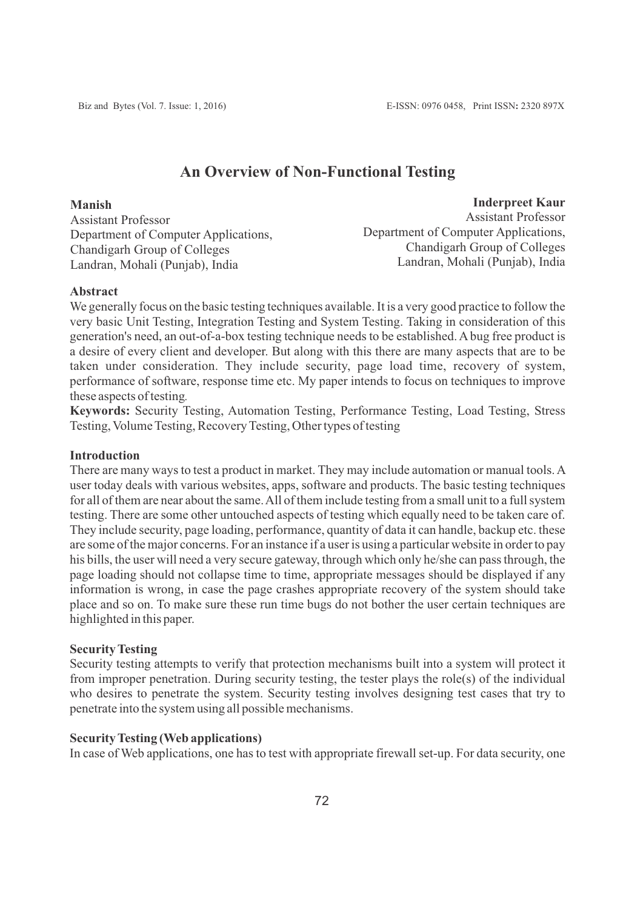# **An Overview of Non-Functional Testing**

**Manish** Assistant Professor Department of Computer Applications, Chandigarh Group of Colleges Landran, Mohali (Punjab), India

**Inderpreet Kaur** Assistant Professor Department of Computer Applications, Chandigarh Group of Colleges Landran, Mohali (Punjab), India

#### **Abstract**

We generally focus on the basic testing techniques available. It is a very good practice to follow the very basic Unit Testing, Integration Testing and System Testing. Taking in consideration of this generation's need, an out-of-a-box testing technique needs to be established. Abug free product is a desire of every client and developer. But along with this there are many aspects that are to be taken under consideration. They include security, page load time, recovery of system, performance of software, response time etc. My paper intends to focus on techniques to improve these aspects of testing*.*

**Keywords:** Security Testing, Automation Testing, Performance Testing, Load Testing, Stress Testing, Volume Testing, Recovery Testing, Other types of testing

#### **Introduction**

There are many ways to test a product in market. They may include automation or manual tools. A user today deals with various websites, apps, software and products. The basic testing techniques for all of them are near about the same. All of them include testing from a small unit to a full system testing. There are some other untouched aspects of testing which equally need to be taken care of. They include security, page loading, performance, quantity of data it can handle, backup etc. these are some of the major concerns. For an instance if a user is using a particular website in order to pay his bills, the user will need a very secure gateway, through which only he/she can pass through, the page loading should not collapse time to time, appropriate messages should be displayed if any information is wrong, in case the page crashes appropriate recovery of the system should take place and so on. To make sure these run time bugs do not bother the user certain techniques are highlighted in this paper.

#### **Security Testing**

Security testing attempts to verify that protection mechanisms built into a system will protect it from improper penetration. During security testing, the tester plays the role(s) of the individual who desires to penetrate the system. Security testing involves designing test cases that try to penetrate into the system using all possible mechanisms.

### **Security Testing (Web applications)**

In case of Web applications, one has to test with appropriate firewall set-up. For data security, one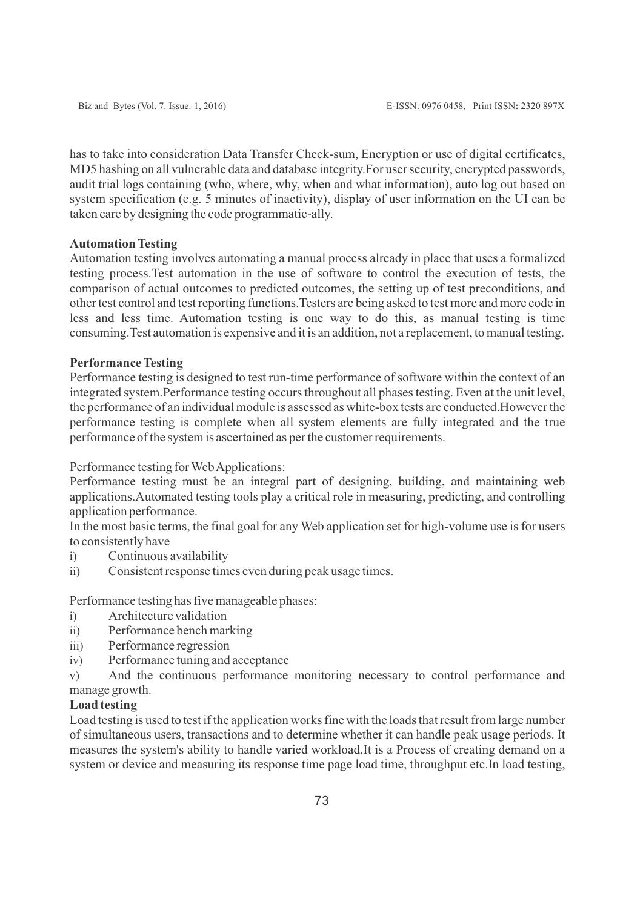has to take into consideration Data Transfer Check-sum, Encryption or use of digital certificates, MD5 hashing on all vulnerable data and database integrity.For user security, encrypted passwords, audit trial logs containing (who, where, why, when and what information), auto log out based on system specification (e.g. 5 minutes of inactivity), display of user information on the UI can be taken care by designing the code programmatic-ally.

#### **Automation Testing**

Automation testing involves automating a manual process already in place that uses a formalized testing process.Test automation in the use of software to control the execution of tests, the comparison of actual outcomes to predicted outcomes, the setting up of test preconditions, and other test control and test reporting functions.Testers are being asked to test more and more code in less and less time. Automation testing is one way to do this, as manual testing is time consuming.Test automation is expensive and it is an addition, not a replacement, to manual testing.

#### **Performance Testing**

Performance testing is designed to test run-time performance of software within the context of an integrated system.Performance testing occurs throughout all phases testing. Even at the unit level, the performance of an individual module is assessed as white-box tests are conducted.However the performance testing is complete when all system elements are fully integrated and the true performance of the system is ascertained as per the customer requirements.

Performance testing for Web Applications:

Performance testing must be an integral part of designing, building, and maintaining web applications.Automated testing tools play a critical role in measuring, predicting, and controlling application performance.

In the most basic terms, the final goal for any Web application set for high-volume use is for users to consistently have

- i) Continuous availability
- ii) Consistent response times even during peak usage times.

Performance testing has five manageable phases:

- i) Architecture validation
- ii) Performance bench marking
- iii) Performance regression
- iv) Performance tuning and acceptance

v) And the continuous performance monitoring necessary to control performance and manage growth.

### **Load testing**

Load testing is used to test if the application works fine with the loads that result from large number of simultaneous users, transactions and to determine whether it can handle peak usage periods. It measures the system's ability to handle varied workload.It is a Process of creating demand on a system or device and measuring its response time page load time, throughput etc.In load testing,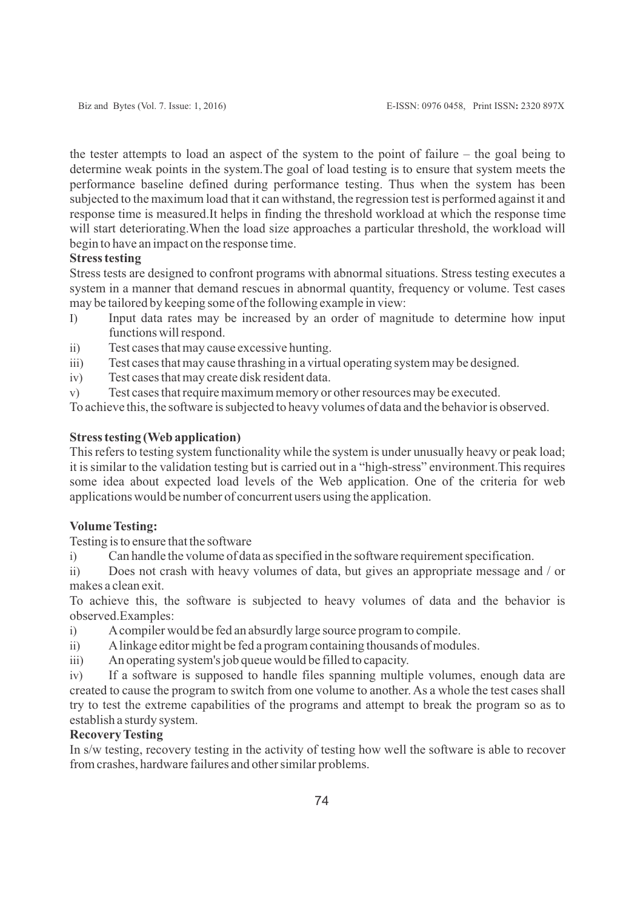the tester attempts to load an aspect of the system to the point of failure – the goal being to determine weak points in the system.The goal of load testing is to ensure that system meets the performance baseline defined during performance testing. Thus when the system has been subjected to the maximum load that it can withstand, the regression test is performed against it and response time is measured.It helps in finding the threshold workload at which the response time will start deteriorating.When the load size approaches a particular threshold, the workload will begin to have an impact on the response time.

### **Stress testing**

Stress tests are designed to confront programs with abnormal situations. Stress testing executes a system in a manner that demand rescues in abnormal quantity, frequency or volume. Test cases may be tailored by keeping some of the following example in view:

- I) Input data rates may be increased by an order of magnitude to determine how input functions will respond.
- ii) Test cases that may cause excessive hunting.
- iii) Test cases that may cause thrashing in a virtual operating system may be designed.
- iv) Test cases that may create disk resident data.
- v) Test cases that require maximum memory or other resources may be executed.

To achieve this, the software is subjected to heavy volumes of data and the behavior is observed.

#### **Stress testing (Web application)**

This refers to testing system functionality while the system is under unusually heavy or peak load; it is similar to the validation testing but is carried out in a "high-stress" environment.This requires some idea about expected load levels of the Web application. One of the criteria for web applications would be number of concurrent users using the application.

#### **Volume Testing:**

Testing is to ensure that the software

i) Can handle the volume of data as specified in the software requirement specification.

ii) Does not crash with heavy volumes of data, but gives an appropriate message and / or makes a clean exit.

To achieve this, the software is subjected to heavy volumes of data and the behavior is observed.Examples:

- i) Acompiler would be fed an absurdly large source program to compile.
- ii) Alinkage editor might be fed a program containing thousands of modules.
- iii) An operating system's job queue would be filled to capacity.

iv) If a software is supposed to handle files spanning multiple volumes, enough data are created to cause the program to switch from one volume to another. As a whole the test cases shall try to test the extreme capabilities of the programs and attempt to break the program so as to establish a sturdy system.

## **Recovery Testing**

In s/w testing, recovery testing in the activity of testing how well the software is able to recover from crashes, hardware failures and other similar problems.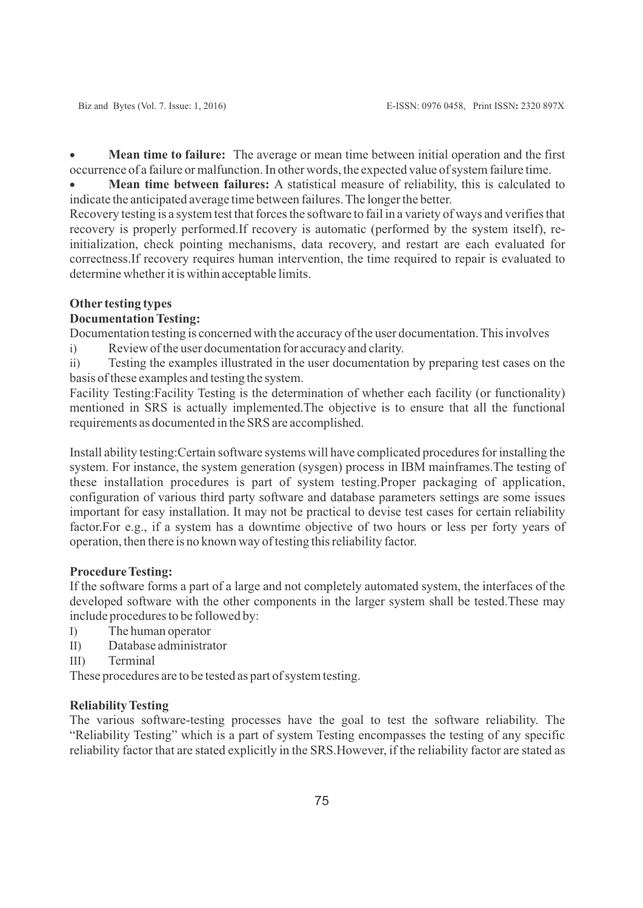· **Mean time to failure:** The average or mean time between initial operation and the first occurrence of a failure or malfunction. In other words, the expected value of system failure time.

· **Mean time between failures:** A statistical measure of reliability, this is calculated to indicate the anticipated average time between failures. The longer the better.

Recovery testing is a system test that forces the software to fail in a variety of ways and verifies that recovery is properly performed.If recovery is automatic (performed by the system itself), reinitialization, check pointing mechanisms, data recovery, and restart are each evaluated for correctness.If recovery requires human intervention, the time required to repair is evaluated to determine whether it is within acceptable limits.

### **Other testing types**

### **Documentation Testing:**

Documentation testing is concerned with the accuracy of the user documentation. This involves

i) Review of the user documentation for accuracy and clarity.

ii) Testing the examples illustrated in the user documentation by preparing test cases on the basis of these examples and testing the system.

Facility Testing:Facility Testing is the determination of whether each facility (or functionality) mentioned in SRS is actually implemented.The objective is to ensure that all the functional requirements as documented in the SRS are accomplished.

Install ability testing:Certain software systems will have complicated procedures for installing the system. For instance, the system generation (sysgen) process in IBM mainframes.The testing of these installation procedures is part of system testing.Proper packaging of application, configuration of various third party software and database parameters settings are some issues important for easy installation. It may not be practical to devise test cases for certain reliability factor.For e.g., if a system has a downtime objective of two hours or less per forty years of operation, then there is no known way of testing this reliability factor.

#### **Procedure Testing:**

If the software forms a part of a large and not completely automated system, the interfaces of the developed software with the other components in the larger system shall be tested.These may include procedures to be followed by:

- I) The human operator
- II) Database administrator
- III) Terminal

These procedures are to be tested as part of system testing.

#### **Reliability Testing**

The various software-testing processes have the goal to test the software reliability. The "Reliability Testing" which is a part of system Testing encompasses the testing of any specific reliability factor that are stated explicitly in the SRS.However, if the reliability factor are stated as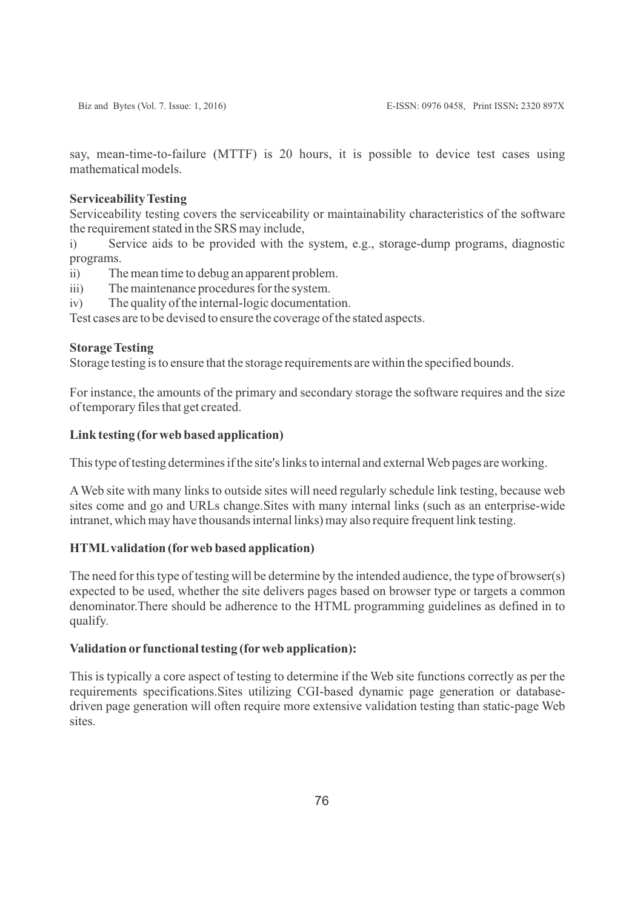say, mean-time-to-failure (MTTF) is 20 hours, it is possible to device test cases using mathematical models.

### **Serviceability Testing**

Serviceability testing covers the serviceability or maintainability characteristics of the software the requirement stated in the SRS may include,

i) Service aids to be provided with the system, e.g., storage-dump programs, diagnostic programs.

ii) The mean time to debug an apparent problem.

iii) The maintenance procedures for the system.

iv) The quality of the internal-logic documentation.

Test cases are to be devised to ensure the coverage of the stated aspects.

### **Storage Testing**

Storage testing is to ensure that the storage requirements are within the specified bounds.

For instance, the amounts of the primary and secondary storage the software requires and the size of temporary files that get created.

### **Link testing (forweb based application)**

This type of testing determines if the site's links to internal and external Web pages are working.

AWeb site with many links to outside sites will need regularly schedule link testing, because web sites come and go and URLs change.Sites with many internal links (such as an enterprise-wide intranet, which may have thousands internal links) may also require frequent link testing.

### **HTMLvalidation (forweb based application)**

The need for this type of testing will be determine by the intended audience, the type of browser(s) expected to be used, whether the site delivers pages based on browser type or targets a common denominator.There should be adherence to the HTML programming guidelines as defined in to qualify.

### **Validation or functional testing (forweb application):**

This is typically a core aspect of testing to determine if the Web site functions correctly as per the requirements specifications.Sites utilizing CGI-based dynamic page generation or databasedriven page generation will often require more extensive validation testing than static-page Web sites.